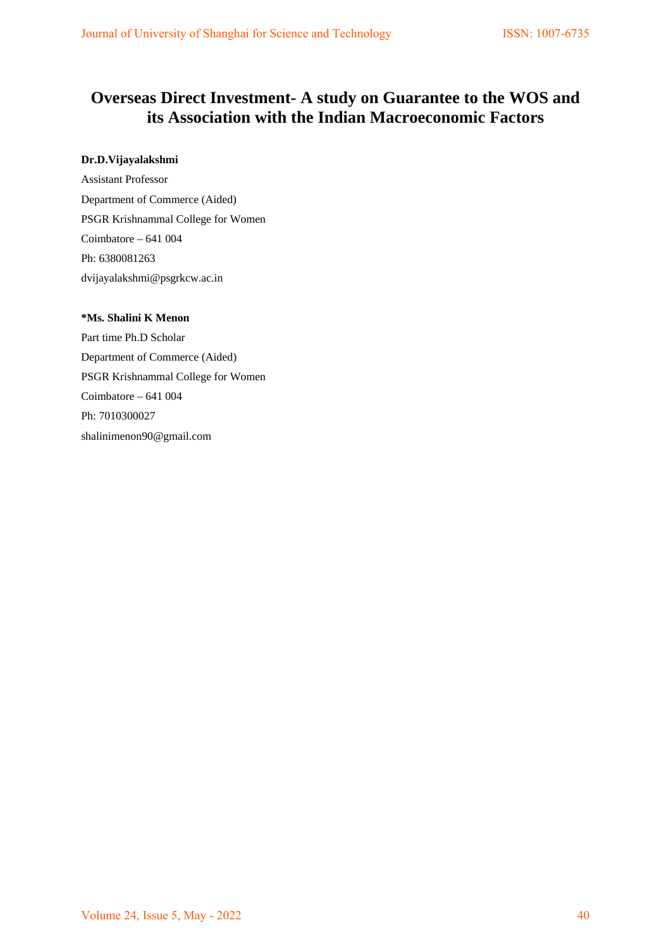# **Overseas Direct Investment- A study on Guarantee to the WOS and its Association with the Indian Macroeconomic Factors**

## **Dr.D.Vijayalakshmi**

Assistant Professor Department of Commerce (Aided) PSGR Krishnammal College for Women Coimbatore – 641 004 Ph: 6380081263 dvijayalakshmi@psgrkcw.ac.in

## **\*Ms. Shalini K Menon**

Part time Ph.D Scholar Department of Commerce (Aided) PSGR Krishnammal College for Women Coimbatore – 641 004 Ph: 7010300027 shalinimenon90@gmail.com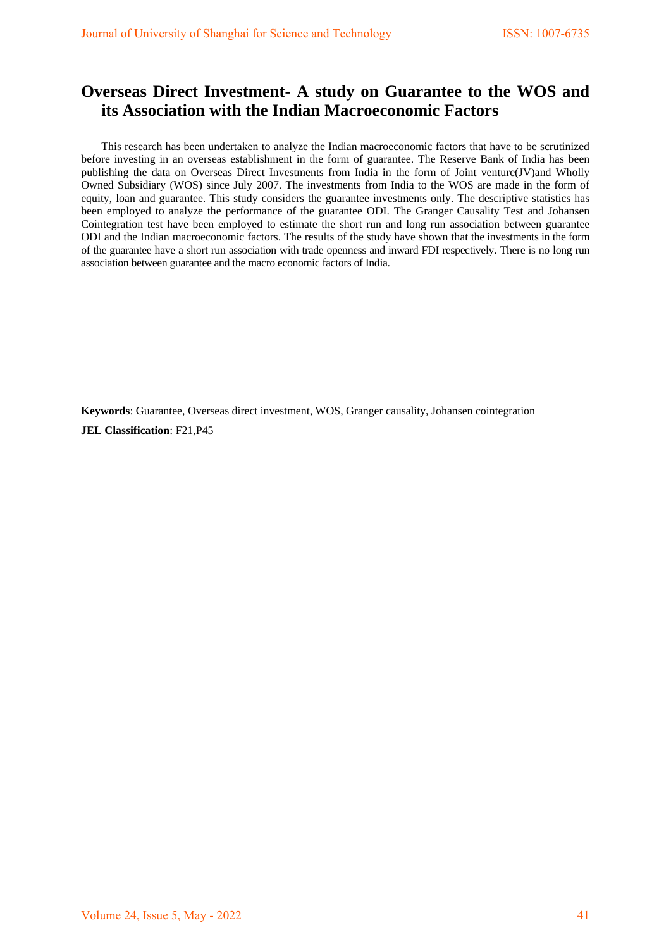# **Overseas Direct Investment- A study on Guarantee to the WOS and its Association with the Indian Macroeconomic Factors**

This research has been undertaken to analyze the Indian macroeconomic factors that have to be scrutinized before investing in an overseas establishment in the form of guarantee. The Reserve Bank of India has been publishing the data on Overseas Direct Investments from India in the form of Joint venture(JV)and Wholly Owned Subsidiary (WOS) since July 2007. The investments from India to the WOS are made in the form of equity, loan and guarantee. This study considers the guarantee investments only. The descriptive statistics has been employed to analyze the performance of the guarantee ODI. The Granger Causality Test and Johansen Cointegration test have been employed to estimate the short run and long run association between guarantee ODI and the Indian macroeconomic factors. The results of the study have shown that the investments in the form of the guarantee have a short run association with trade openness and inward FDI respectively. There is no long run association between guarantee and the macro economic factors of India.

**Keywords**: Guarantee, Overseas direct investment, WOS, Granger causality, Johansen cointegration **JEL Classification**: F21,P45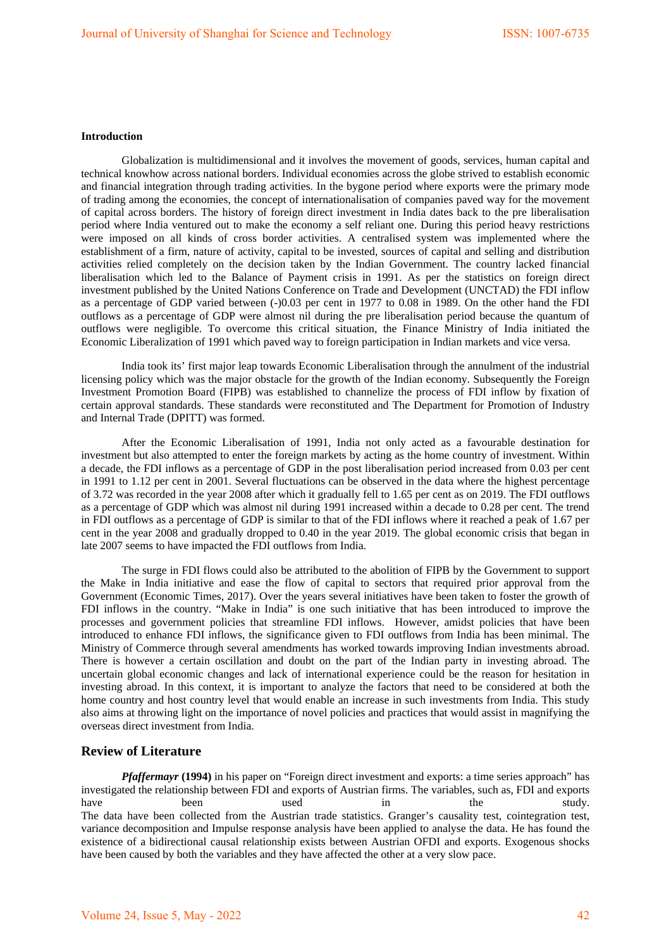## **Introduction**

Globalization is multidimensional and it involves the movement of goods, services, human capital and technical knowhow across national borders. Individual economies across the globe strived to establish economic and financial integration through trading activities. In the bygone period where exports were the primary mode of trading among the economies, the concept of internationalisation of companies paved way for the movement of capital across borders. The history of foreign direct investment in India dates back to the pre liberalisation period where India ventured out to make the economy a self reliant one. During this period heavy restrictions were imposed on all kinds of cross border activities. A centralised system was implemented where the establishment of a firm, nature of activity, capital to be invested, sources of capital and selling and distribution activities relied completely on the decision taken by the Indian Government. The country lacked financial liberalisation which led to the Balance of Payment crisis in 1991. As per the statistics on foreign direct investment published by the United Nations Conference on Trade and Development (UNCTAD) the FDI inflow as a percentage of GDP varied between (-)0.03 per cent in 1977 to 0.08 in 1989. On the other hand the FDI outflows as a percentage of GDP were almost nil during the pre liberalisation period because the quantum of outflows were negligible. To overcome this critical situation, the Finance Ministry of India initiated the Economic Liberalization of 1991 which paved way to foreign participation in Indian markets and vice versa.

India took its' first major leap towards Economic Liberalisation through the annulment of the industrial licensing policy which was the major obstacle for the growth of the Indian economy. Subsequently the Foreign Investment Promotion Board (FIPB) was established to channelize the process of FDI inflow by fixation of certain approval standards. These standards were reconstituted and The Department for Promotion of Industry and Internal Trade (DPITT) was formed.

After the Economic Liberalisation of 1991, India not only acted as a favourable destination for investment but also attempted to enter the foreign markets by acting as the home country of investment. Within a decade, the FDI inflows as a percentage of GDP in the post liberalisation period increased from 0.03 per cent in 1991 to 1.12 per cent in 2001. Several fluctuations can be observed in the data where the highest percentage of 3.72 was recorded in the year 2008 after which it gradually fell to 1.65 per cent as on 2019. The FDI outflows as a percentage of GDP which was almost nil during 1991 increased within a decade to 0.28 per cent. The trend in FDI outflows as a percentage of GDP is similar to that of the FDI inflows where it reached a peak of 1.67 per cent in the year 2008 and gradually dropped to 0.40 in the year 2019. The global economic crisis that began in late 2007 seems to have impacted the FDI outflows from India.

The surge in FDI flows could also be attributed to the abolition of FIPB by the Government to support the Make in India initiative and ease the flow of capital to sectors that required prior approval from the Government (Economic Times, 2017). Over the years several initiatives have been taken to foster the growth of FDI inflows in the country. "Make in India" is one such initiative that has been introduced to improve the processes and government policies that streamline FDI inflows. However, amidst policies that have been introduced to enhance FDI inflows, the significance given to FDI outflows from India has been minimal. The Ministry of Commerce through several amendments has worked towards improving Indian investments abroad. There is however a certain oscillation and doubt on the part of the Indian party in investing abroad. The uncertain global economic changes and lack of international experience could be the reason for hesitation in investing abroad. In this context, it is important to analyze the factors that need to be considered at both the home country and host country level that would enable an increase in such investments from India. This study also aims at throwing light on the importance of novel policies and practices that would assist in magnifying the overseas direct investment from India.

### **Review of Literature**

*Pfaffermayr* **(1994)** in his paper on "Foreign direct investment and exports: a time series approach" has investigated the relationship between FDI and exports of Austrian firms. The variables, such as, FDI and exports have been used in the study. The data have been collected from the Austrian trade statistics. Granger's causality test, cointegration test, variance decomposition and Impulse response analysis have been applied to analyse the data. He has found the existence of a bidirectional causal relationship exists between Austrian OFDI and exports. Exogenous shocks have been caused by both the variables and they have affected the other at a very slow pace.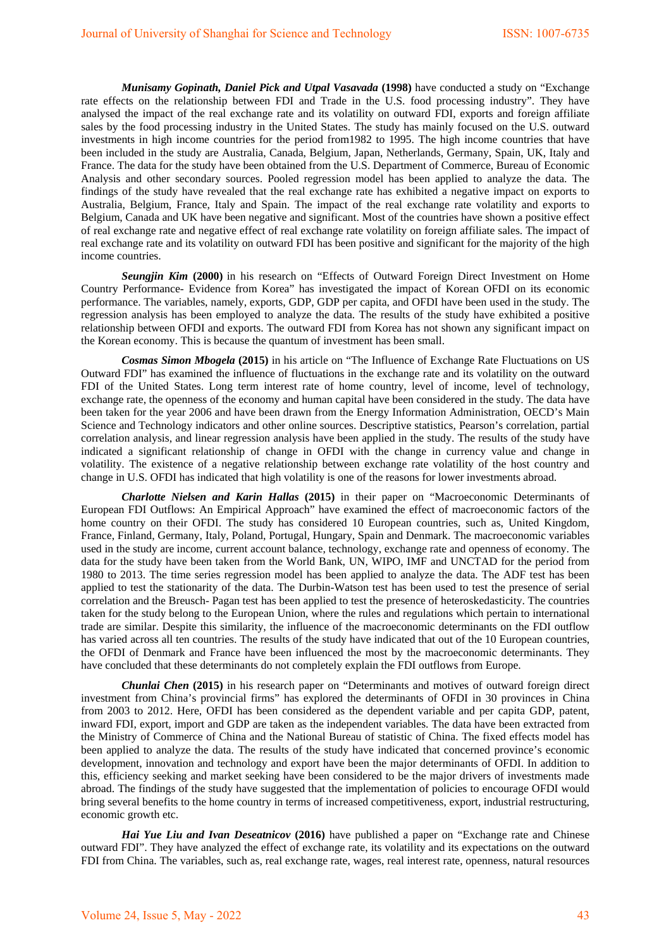*Munisamy Gopinath, Daniel Pick and Utpal Vasavada* **(1998)** have conducted a study on "Exchange rate effects on the relationship between FDI and Trade in the U.S. food processing industry". They have analysed the impact of the real exchange rate and its volatility on outward FDI, exports and foreign affiliate sales by the food processing industry in the United States. The study has mainly focused on the U.S. outward investments in high income countries for the period from1982 to 1995. The high income countries that have been included in the study are Australia, Canada, Belgium, Japan, Netherlands, Germany, Spain, UK, Italy and France. The data for the study have been obtained from the U.S. Department of Commerce, Bureau of Economic Analysis and other secondary sources. Pooled regression model has been applied to analyze the data. The findings of the study have revealed that the real exchange rate has exhibited a negative impact on exports to Australia, Belgium, France, Italy and Spain. The impact of the real exchange rate volatility and exports to Belgium, Canada and UK have been negative and significant. Most of the countries have shown a positive effect of real exchange rate and negative effect of real exchange rate volatility on foreign affiliate sales. The impact of real exchange rate and its volatility on outward FDI has been positive and significant for the majority of the high income countries.

*Seungjin Kim* **(2000)** in his research on "Effects of Outward Foreign Direct Investment on Home Country Performance- Evidence from Korea" has investigated the impact of Korean OFDI on its economic performance. The variables, namely, exports, GDP, GDP per capita, and OFDI have been used in the study. The regression analysis has been employed to analyze the data. The results of the study have exhibited a positive relationship between OFDI and exports. The outward FDI from Korea has not shown any significant impact on the Korean economy. This is because the quantum of investment has been small.

*Cosmas Simon Mbogela* **(2015)** in his article on "The Influence of Exchange Rate Fluctuations on US Outward FDI" has examined the influence of fluctuations in the exchange rate and its volatility on the outward FDI of the United States. Long term interest rate of home country, level of income, level of technology, exchange rate, the openness of the economy and human capital have been considered in the study. The data have been taken for the year 2006 and have been drawn from the Energy Information Administration, OECD's Main Science and Technology indicators and other online sources. Descriptive statistics, Pearson's correlation, partial correlation analysis, and linear regression analysis have been applied in the study. The results of the study have indicated a significant relationship of change in OFDI with the change in currency value and change in volatility. The existence of a negative relationship between exchange rate volatility of the host country and change in U.S. OFDI has indicated that high volatility is one of the reasons for lower investments abroad.

*Charlotte Nielsen and Karin Hallas* **(2015)** in their paper on "Macroeconomic Determinants of European FDI Outflows: An Empirical Approach" have examined the effect of macroeconomic factors of the home country on their OFDI. The study has considered 10 European countries, such as, United Kingdom, France, Finland, Germany, Italy, Poland, Portugal, Hungary, Spain and Denmark. The macroeconomic variables used in the study are income, current account balance, technology, exchange rate and openness of economy. The data for the study have been taken from the World Bank, UN, WIPO, IMF and UNCTAD for the period from 1980 to 2013. The time series regression model has been applied to analyze the data. The ADF test has been applied to test the stationarity of the data. The Durbin-Watson test has been used to test the presence of serial correlation and the Breusch- Pagan test has been applied to test the presence of heteroskedasticity. The countries taken for the study belong to the European Union, where the rules and regulations which pertain to international trade are similar. Despite this similarity, the influence of the macroeconomic determinants on the FDI outflow has varied across all ten countries. The results of the study have indicated that out of the 10 European countries, the OFDI of Denmark and France have been influenced the most by the macroeconomic determinants. They have concluded that these determinants do not completely explain the FDI outflows from Europe.

*Chunlai Chen* **(2015)** in his research paper on "Determinants and motives of outward foreign direct investment from China's provincial firms" has explored the determinants of OFDI in 30 provinces in China from 2003 to 2012. Here, OFDI has been considered as the dependent variable and per capita GDP, patent, inward FDI, export, import and GDP are taken as the independent variables. The data have been extracted from the Ministry of Commerce of China and the National Bureau of statistic of China. The fixed effects model has been applied to analyze the data. The results of the study have indicated that concerned province's economic development, innovation and technology and export have been the major determinants of OFDI. In addition to this, efficiency seeking and market seeking have been considered to be the major drivers of investments made abroad. The findings of the study have suggested that the implementation of policies to encourage OFDI would bring several benefits to the home country in terms of increased competitiveness, export, industrial restructuring, economic growth etc.

*Hai Yue Liu and Ivan Deseatnicov* **(2016)** have published a paper on "Exchange rate and Chinese outward FDI". They have analyzed the effect of exchange rate, its volatility and its expectations on the outward FDI from China. The variables, such as, real exchange rate, wages, real interest rate, openness, natural resources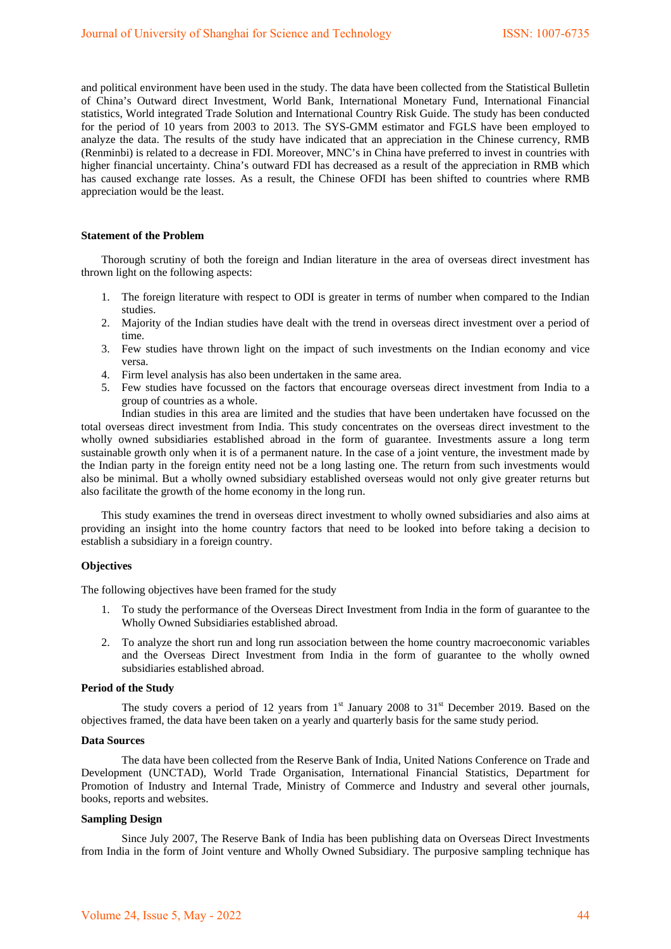and political environment have been used in the study. The data have been collected from the Statistical Bulletin of China's Outward direct Investment, World Bank, International Monetary Fund, International Financial statistics, World integrated Trade Solution and International Country Risk Guide. The study has been conducted for the period of 10 years from 2003 to 2013. The SYS-GMM estimator and FGLS have been employed to analyze the data. The results of the study have indicated that an appreciation in the Chinese currency, RMB (Renminbi) is related to a decrease in FDI. Moreover, MNC's in China have preferred to invest in countries with higher financial uncertainty. China's outward FDI has decreased as a result of the appreciation in RMB which has caused exchange rate losses. As a result, the Chinese OFDI has been shifted to countries where RMB appreciation would be the least.

### **Statement of the Problem**

Thorough scrutiny of both the foreign and Indian literature in the area of overseas direct investment has thrown light on the following aspects:

- 1. The foreign literature with respect to ODI is greater in terms of number when compared to the Indian studies.
- 2. Majority of the Indian studies have dealt with the trend in overseas direct investment over a period of time.
- 3. Few studies have thrown light on the impact of such investments on the Indian economy and vice versa.
- 4. Firm level analysis has also been undertaken in the same area.
- 5. Few studies have focussed on the factors that encourage overseas direct investment from India to a group of countries as a whole.

Indian studies in this area are limited and the studies that have been undertaken have focussed on the total overseas direct investment from India. This study concentrates on the overseas direct investment to the wholly owned subsidiaries established abroad in the form of guarantee. Investments assure a long term sustainable growth only when it is of a permanent nature. In the case of a joint venture, the investment made by the Indian party in the foreign entity need not be a long lasting one. The return from such investments would also be minimal. But a wholly owned subsidiary established overseas would not only give greater returns but also facilitate the growth of the home economy in the long run.

This study examines the trend in overseas direct investment to wholly owned subsidiaries and also aims at providing an insight into the home country factors that need to be looked into before taking a decision to establish a subsidiary in a foreign country.

### **Objectives**

The following objectives have been framed for the study

- 1. To study the performance of the Overseas Direct Investment from India in the form of guarantee to the Wholly Owned Subsidiaries established abroad.
- 2. To analyze the short run and long run association between the home country macroeconomic variables and the Overseas Direct Investment from India in the form of guarantee to the wholly owned subsidiaries established abroad.

#### **Period of the Study**

The study covers a period of 12 years from 1<sup>st</sup> January 2008 to 31<sup>st</sup> December 2019. Based on the objectives framed, the data have been taken on a yearly and quarterly basis for the same study period.

#### **Data Sources**

The data have been collected from the Reserve Bank of India, United Nations Conference on Trade and Development (UNCTAD), World Trade Organisation, International Financial Statistics, Department for Promotion of Industry and Internal Trade, Ministry of Commerce and Industry and several other journals, books, reports and websites.

## **Sampling Design**

Since July 2007, The Reserve Bank of India has been publishing data on Overseas Direct Investments from India in the form of Joint venture and Wholly Owned Subsidiary. The purposive sampling technique has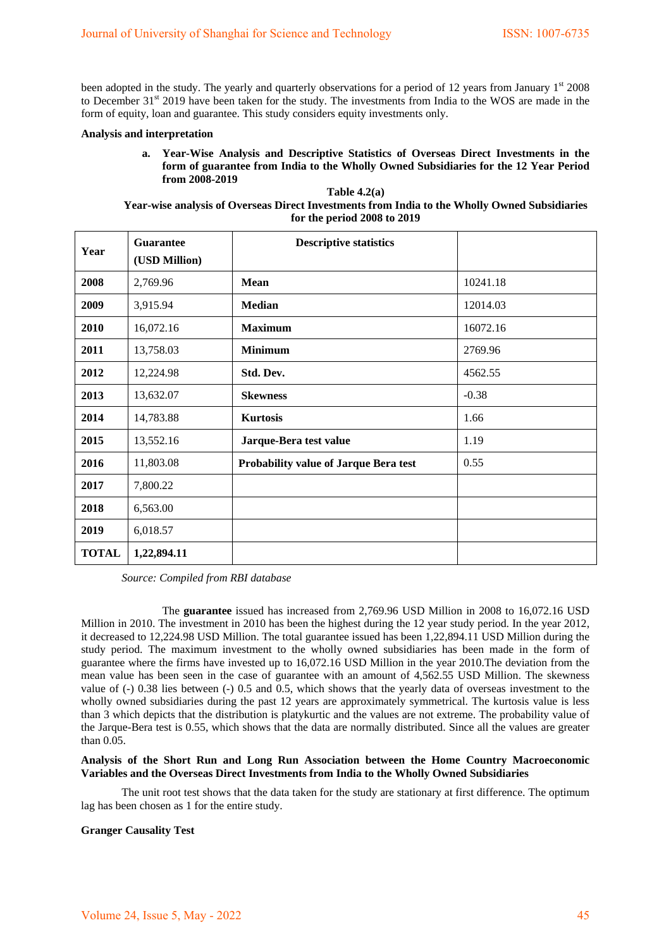been adopted in the study. The yearly and quarterly observations for a period of 12 years from January 1<sup>st</sup> 2008 to December 31<sup>st</sup> 2019 have been taken for the study. The investments from India to the WOS are made in the form of equity, loan and guarantee. This study considers equity investments only.

## **Analysis and interpretation**

**a. Year-Wise Analysis and Descriptive Statistics of Overseas Direct Investments in the form of guarantee from India to the Wholly Owned Subsidiaries for the 12 Year Period from 2008-2019**

**Table 4.2(a) Year-wise analysis of Overseas Direct Investments from India to the Wholly Owned Subsidiaries for the period 2008 to 2019**

| Year         | <b>Guarantee</b><br>(USD Million) | <b>Descriptive statistics</b>         |          |
|--------------|-----------------------------------|---------------------------------------|----------|
| 2008         | 2,769.96                          | <b>Mean</b>                           | 10241.18 |
| 2009         | 3,915.94                          | <b>Median</b>                         | 12014.03 |
| 2010         | 16,072.16                         | <b>Maximum</b>                        | 16072.16 |
| 2011         | 13,758.03                         | <b>Minimum</b>                        | 2769.96  |
| 2012         | 12,224.98                         | Std. Dev.                             | 4562.55  |
| 2013         | 13,632.07                         | <b>Skewness</b>                       | $-0.38$  |
| 2014         | 14,783.88                         | <b>Kurtosis</b>                       | 1.66     |
| 2015         | 13,552.16                         | Jarque-Bera test value                | 1.19     |
| 2016         | 11,803.08                         | Probability value of Jarque Bera test | 0.55     |
| 2017         | 7,800.22                          |                                       |          |
| 2018         | 6,563.00                          |                                       |          |
| 2019         | 6,018.57                          |                                       |          |
| <b>TOTAL</b> | 1,22,894.11                       |                                       |          |

*Source: Compiled from RBI database*

The **guarantee** issued has increased from 2,769.96 USD Million in 2008 to 16,072.16 USD Million in 2010. The investment in 2010 has been the highest during the 12 year study period. In the year 2012, it decreased to 12,224.98 USD Million. The total guarantee issued has been 1,22,894.11 USD Million during the study period. The maximum investment to the wholly owned subsidiaries has been made in the form of guarantee where the firms have invested up to 16,072.16 USD Million in the year 2010.The deviation from the mean value has been seen in the case of guarantee with an amount of 4,562.55 USD Million. The skewness value of (-) 0.38 lies between (-) 0.5 and 0.5, which shows that the yearly data of overseas investment to the wholly owned subsidiaries during the past 12 years are approximately symmetrical. The kurtosis value is less than 3 which depicts that the distribution is platykurtic and the values are not extreme. The probability value of the Jarque-Bera test is 0.55, which shows that the data are normally distributed. Since all the values are greater than 0.05.

## **Analysis of the Short Run and Long Run Association between the Home Country Macroeconomic Variables and the Overseas Direct Investments from India to the Wholly Owned Subsidiaries**

The unit root test shows that the data taken for the study are stationary at first difference. The optimum lag has been chosen as 1 for the entire study.

#### **Granger Causality Test**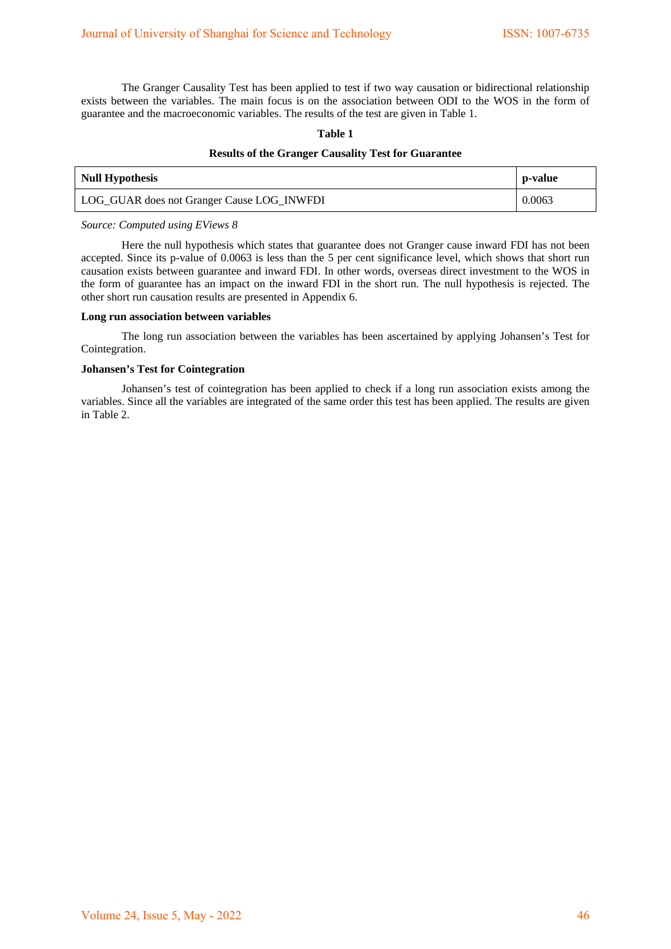The Granger Causality Test has been applied to test if two way causation or bidirectional relationship exists between the variables. The main focus is on the association between ODI to the WOS in the form of guarantee and the macroeconomic variables. The results of the test are given in Table 1.

## **Table 1**

## **Results of the Granger Causality Test for Guarantee**

| <b>Null Hypothesis</b>                     | p-value |
|--------------------------------------------|---------|
| LOG_GUAR does not Granger Cause LOG_INWFDI | 0.0063  |

#### *Source: Computed using EViews 8*

Here the null hypothesis which states that guarantee does not Granger cause inward FDI has not been accepted. Since its p-value of 0.0063 is less than the 5 per cent significance level, which shows that short run causation exists between guarantee and inward FDI. In other words, overseas direct investment to the WOS in the form of guarantee has an impact on the inward FDI in the short run. The null hypothesis is rejected. The other short run causation results are presented in Appendix 6.

#### **Long run association between variables**

The long run association between the variables has been ascertained by applying Johansen's Test for Cointegration.

### **Johansen's Test for Cointegration**

Johansen's test of cointegration has been applied to check if a long run association exists among the variables. Since all the variables are integrated of the same order this test has been applied. The results are given in Table 2.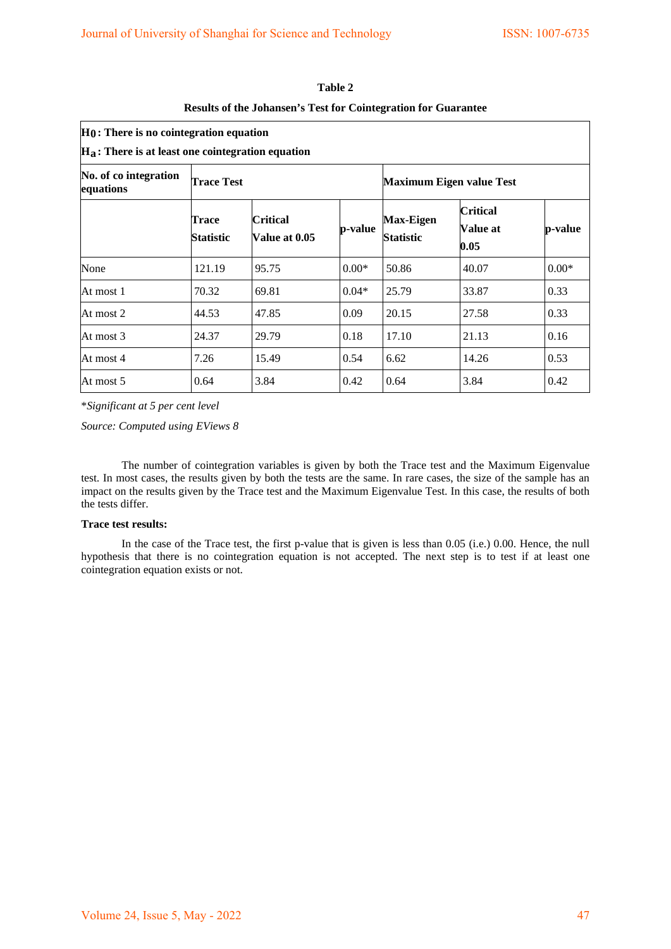| $H0$ : There is no cointegration equation<br>$H_a$ : There is at least one cointegration equation |                    |                                  |         |                                      |                                            |         |
|---------------------------------------------------------------------------------------------------|--------------------|----------------------------------|---------|--------------------------------------|--------------------------------------------|---------|
| No. of co integration<br>equations                                                                | <b>Trace Test</b>  |                                  |         | <b>Maximum Eigen value Test</b>      |                                            |         |
|                                                                                                   | Trace<br>Statistic | <b>Critical</b><br>Value at 0.05 | p-value | <b>Max-Eigen</b><br><b>Statistic</b> | <b>Critical</b><br><b>Value at</b><br>0.05 | p-value |
| None                                                                                              | 121.19             | 95.75                            | $0.00*$ | 50.86                                | 40.07                                      | $0.00*$ |
| At most 1                                                                                         | 70.32              | 69.81                            | $0.04*$ | 25.79                                | 33.87                                      | 0.33    |
| At most 2                                                                                         | 44.53              | 47.85                            | 0.09    | 20.15                                | 27.58                                      | 0.33    |
| At most 3                                                                                         | 24.37              | 29.79                            | 0.18    | 17.10                                | 21.13                                      | 0.16    |
| At most 4                                                                                         | 7.26               | 15.49                            | 0.54    | 6.62                                 | 14.26                                      | 0.53    |
| At most 5                                                                                         | 0.64               | 3.84                             | 0.42    | 0.64                                 | 3.84                                       | 0.42    |

| Table 2                                                               |
|-----------------------------------------------------------------------|
| <b>Results of the Johansen's Test for Cointegration for Guarantee</b> |

\**Significant at 5 per cent level* 

*Source: Computed using EViews 8*

The number of cointegration variables is given by both the Trace test and the Maximum Eigenvalue test. In most cases, the results given by both the tests are the same. In rare cases, the size of the sample has an impact on the results given by the Trace test and the Maximum Eigenvalue Test. In this case, the results of both the tests differ.

## **Trace test results:**

In the case of the Trace test, the first p-value that is given is less than 0.05 (i.e.) 0.00. Hence, the null hypothesis that there is no cointegration equation is not accepted. The next step is to test if at least one cointegration equation exists or not.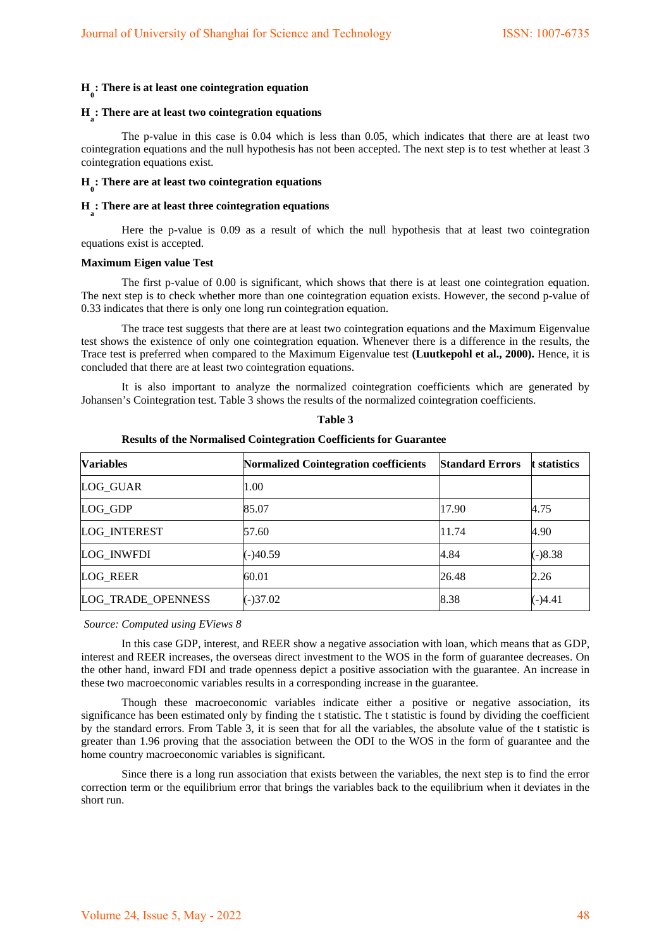# **H 0 : There is at least one cointegration equation**

# **Ha : There are at least two cointegration equations**

The p-value in this case is 0.04 which is less than 0.05, which indicates that there are at least two cointegration equations and the null hypothesis has not been accepted. The next step is to test whether at least 3 cointegration equations exist.

# **H 0 : There are at least two cointegration equations**

# **Ha : There are at least three cointegration equations**

Here the p-value is 0.09 as a result of which the null hypothesis that at least two cointegration equations exist is accepted.

#### **Maximum Eigen value Test**

The first p-value of 0.00 is significant, which shows that there is at least one cointegration equation. The next step is to check whether more than one cointegration equation exists. However, the second p-value of 0.33 indicates that there is only one long run cointegration equation.

The trace test suggests that there are at least two cointegration equations and the Maximum Eigenvalue test shows the existence of only one cointegration equation. Whenever there is a difference in the results, the Trace test is preferred when compared to the Maximum Eigenvalue test **(Luutkepohl et al., 2000).** Hence, it is concluded that there are at least two cointegration equations.

It is also important to analyze the normalized cointegration coefficients which are generated by Johansen's Cointegration test. Table 3 shows the results of the normalized cointegration coefficients.

| <b>Variables</b>    | <b>Normalized Cointegration coefficients</b> | <b>Standard Errors</b> | t statistics |
|---------------------|----------------------------------------------|------------------------|--------------|
| LOG_GUAR            | 1.00                                         |                        |              |
| LOG GDP             | 85.07                                        | 17.90                  | 4.75         |
| <b>LOG INTEREST</b> | 57.60                                        | 11.74                  | 4.90         |
| <b>LOG INWFDI</b>   | $(-)40.59$                                   | 4.84                   | $(-)8.38$    |
| <b>LOG REER</b>     | 60.01                                        | 26.48                  | 2.26         |
| LOG_TRADE_OPENNESS  | $(-)37.02$                                   | 8.38                   | $(-)4.41$    |

**Table 3** 

#### **Results of the Normalised Cointegration Coefficients for Guarantee**

#### *Source: Computed using EViews 8*

In this case GDP, interest, and REER show a negative association with loan, which means that as GDP, interest and REER increases, the overseas direct investment to the WOS in the form of guarantee decreases. On the other hand, inward FDI and trade openness depict a positive association with the guarantee. An increase in these two macroeconomic variables results in a corresponding increase in the guarantee.

Though these macroeconomic variables indicate either a positive or negative association, its significance has been estimated only by finding the t statistic. The t statistic is found by dividing the coefficient by the standard errors. From Table 3, it is seen that for all the variables, the absolute value of the t statistic is greater than 1.96 proving that the association between the ODI to the WOS in the form of guarantee and the home country macroeconomic variables is significant.

Since there is a long run association that exists between the variables, the next step is to find the error correction term or the equilibrium error that brings the variables back to the equilibrium when it deviates in the short run.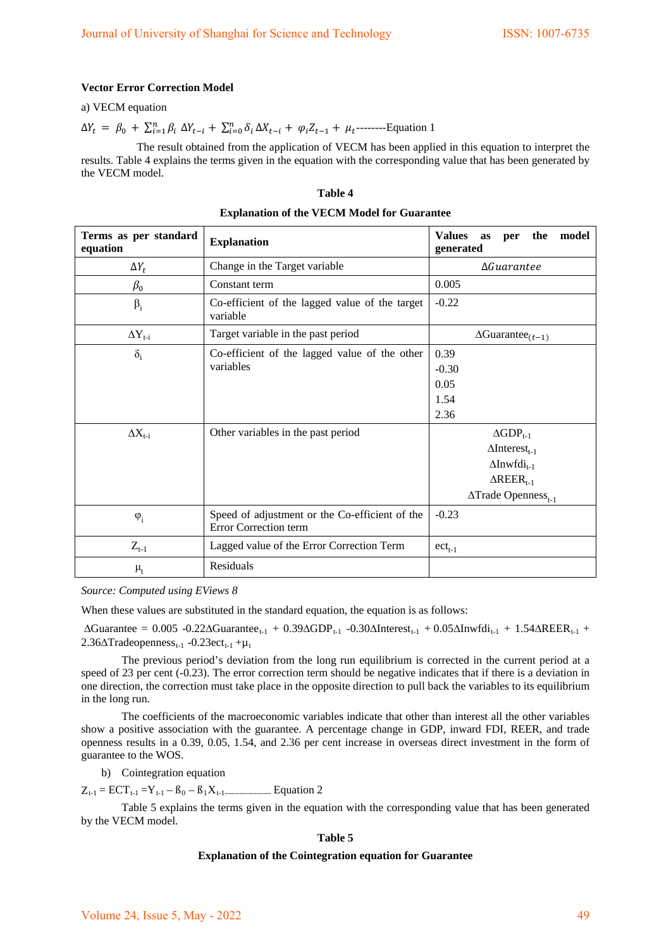## **Vector Error Correction Model**

a) VECM equation

 $\Delta Y_t = \beta_0 + \sum_{i=1}^n \beta_i \ \Delta Y_{t-i} + \sum_{i=0}^n \delta_i \ \Delta X_{t-i} + \varphi_i Z_{t-1} + \mu_t$ ---------Equation 1

The result obtained from the application of VECM has been applied in this equation to interpret the results. Table 4 explains the terms given in the equation with the corresponding value that has been generated by the VECM model.

#### **Table 4**

| Terms as per standard<br>equation | <b>Explanation</b>                                                      | <b>Values</b><br>model<br>the<br>as<br>per<br>generated |  |  |
|-----------------------------------|-------------------------------------------------------------------------|---------------------------------------------------------|--|--|
| $\Delta Y_t$                      | Change in the Target variable                                           | $\Delta$ Guarantee                                      |  |  |
| $\beta_0$                         | Constant term                                                           | 0.005                                                   |  |  |
| $\beta_i$                         | Co-efficient of the lagged value of the target<br>variable              | $-0.22$                                                 |  |  |
| $\Delta Y_{t-i}$                  | Target variable in the past period                                      | $\Delta$ Guarantee <sub>(t-1)</sub>                     |  |  |
| $\delta_i$                        | Co-efficient of the lagged value of the other                           | 0.39                                                    |  |  |
|                                   | variables                                                               | $-0.30$                                                 |  |  |
|                                   |                                                                         | 0.05                                                    |  |  |
|                                   |                                                                         | 1.54                                                    |  |  |
|                                   |                                                                         | 2.36                                                    |  |  |
| $\Delta X_{t-i}$                  | Other variables in the past period                                      | $\Delta GDP_{t-1}$                                      |  |  |
|                                   |                                                                         | $\Delta$ Interest <sub>t-1</sub>                        |  |  |
|                                   |                                                                         | $\Delta$ Inwfdi <sub>t-1</sub>                          |  |  |
|                                   |                                                                         | $\triangle REER_{t-1}$                                  |  |  |
|                                   |                                                                         | $\triangle \text{Trade Openness}_{t-1}$                 |  |  |
| $\varphi_i$                       | Speed of adjustment or the Co-efficient of the<br>Error Correction term | $-0.23$                                                 |  |  |
| $Z_{t-1}$                         | Lagged value of the Error Correction Term                               | $ect_{t-1}$                                             |  |  |
| $\mu_{t}$                         | Residuals                                                               |                                                         |  |  |

#### **Explanation of the VECM Model for Guarantee**

*Source: Computed using EViews 8* 

When these values are substituted in the standard equation, the equation is as follows:

 $\Delta$ Guarantee = 0.005 -0.22 $\Delta$ Guarantee<sub>t-1</sub> + 0.39 $\Delta$ GDP<sub>t-1</sub> -0.30 $\Delta$ Interest<sub>t-1</sub> + 0.05 $\Delta$ Inwfdi<sub>t-1</sub> + 1.54 $\Delta$ REER<sub>t-1</sub> +  $2.36\Delta$ Tradeopenness<sub>t-1</sub> -0.23ect<sub>t-1</sub> + $\mu$ <sub>t</sub>

The previous period's deviation from the long run equilibrium is corrected in the current period at a speed of 23 per cent (-0.23). The error correction term should be negative indicates that if there is a deviation in one direction, the correction must take place in the opposite direction to pull back the variables to its equilibrium in the long run.

The coefficients of the macroeconomic variables indicate that other than interest all the other variables show a positive association with the guarantee. A percentage change in GDP, inward FDI, REER, and trade openness results in a 0.39, 0.05, 1.54, and 2.36 per cent increase in overseas direct investment in the form of guarantee to the WOS.

b) Cointegration equation

Zt-1 = ECTt-1 =Yt-1 – ß0 – ß1Xt-1------------------- Equation 2

 Table 5 explains the terms given in the equation with the corresponding value that has been generated by the VECM model.

#### **Table 5**

## **Explanation of the Cointegration equation for Guarantee**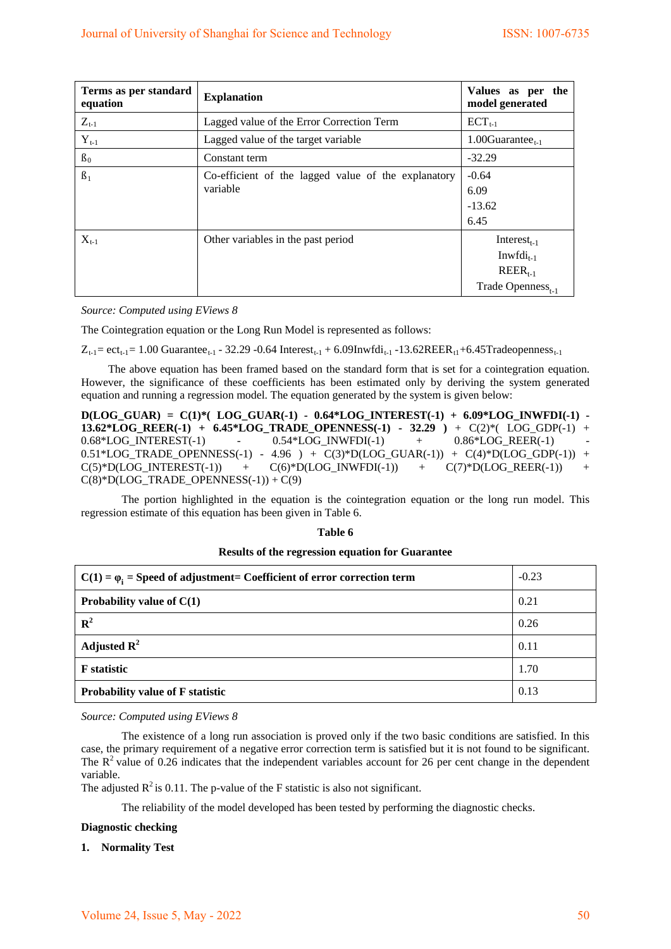| Terms as per standard<br>equation | <b>Explanation</b>                                              | Values as per the<br>model generated                                                       |
|-----------------------------------|-----------------------------------------------------------------|--------------------------------------------------------------------------------------------|
| $Z_{t-1}$                         | Lagged value of the Error Correction Term                       | $ECT_{t-1}$                                                                                |
| $Y_{t-1}$                         | Lagged value of the target variable                             | 1.00 $Guarantee_{t-1}$                                                                     |
| $B_0$                             | Constant term                                                   | $-32.29$                                                                                   |
| $\beta_1$                         | Co-efficient of the lagged value of the explanatory<br>variable | $-0.64$<br>6.09<br>$-13.62$<br>6.45                                                        |
| $X_{t-1}$                         | Other variables in the past period                              | Interest <sub>t-1</sub><br>$Invfdi_{t-1}$<br>$REER_{t-1}$<br>Trade Openness <sub>t-1</sub> |

*Source: Computed using EViews 8* 

The Cointegration equation or the Long Run Model is represented as follows:

 $Z_{t-1}$  = ect<sub>t-1</sub> = 1.00 Guarantee<sub>t-1</sub> - 32.29 -0.64 Interest<sub>t-1</sub> + 6.09Inwfdi<sub>t-1</sub> -13.62REER<sub>t1</sub>+6.45Tradeopenness<sub>t-1</sub>

 The above equation has been framed based on the standard form that is set for a cointegration equation. However, the significance of these coefficients has been estimated only by deriving the system generated equation and running a regression model. The equation generated by the system is given below:

**D(LOG\_GUAR) = C(1)\*( LOG\_GUAR(-1) - 0.64\*LOG\_INTEREST(-1) + 6.09\*LOG\_INWFDI(-1) - 13.62\*LOG\_REER(-1) + 6.45\*LOG\_TRADE\_OPENNESS(-1) - 32.29 )** + C(2)\*( LOG\_GDP(-1) +  $0.68 * LOG\_INTEREST(-1) \qquad - \qquad 0.54 * LOG\_INWFDI(-1) \qquad + \qquad 0.86 * LOG\_REER(-1)$  $0.51*LOG\_TRADE\_OPENNESS(-1) - 4.96 + C(3)*D(LOG_GULAR(-1)) + C(4)*D(LOG_GDP(-1)) +$  $C(5)*D(LOG\_INTEREST(-1)) + C(6)*D(LOG\_INWFDI(-1)) + C(7)*D(LOG\_REER(-1))$  $C(8)*D(LOG_TRADE_OPENNESS(-1)) + C(9)$ 

The portion highlighted in the equation is the cointegration equation or the long run model. This regression estimate of this equation has been given in Table 6.

#### **Table 6**

#### **Results of the regression equation for Guarantee**

| $C(1) = \varphi_1$ = Speed of adjustment = Coefficient of error correction term | $-0.23$ |
|---------------------------------------------------------------------------------|---------|
| Probability value of $C(1)$                                                     | 0.21    |
| $\mathbb{R}^2$                                                                  | 0.26    |
| Adjusted $\mathbb{R}^2$                                                         | 0.11    |
| <b>F</b> statistic                                                              | 1.70    |
| <b>Probability value of F statistic</b>                                         | 0.13    |

*Source: Computed using EViews 8* 

The existence of a long run association is proved only if the two basic conditions are satisfied. In this case, the primary requirement of a negative error correction term is satisfied but it is not found to be significant. The  $R^2$  value of 0.26 indicates that the independent variables account for 26 per cent change in the dependent variable.

The adjusted  $R^2$  is 0.11. The p-value of the F statistic is also not significant.

The reliability of the model developed has been tested by performing the diagnostic checks.

## **Diagnostic checking**

#### **1. Normality Test**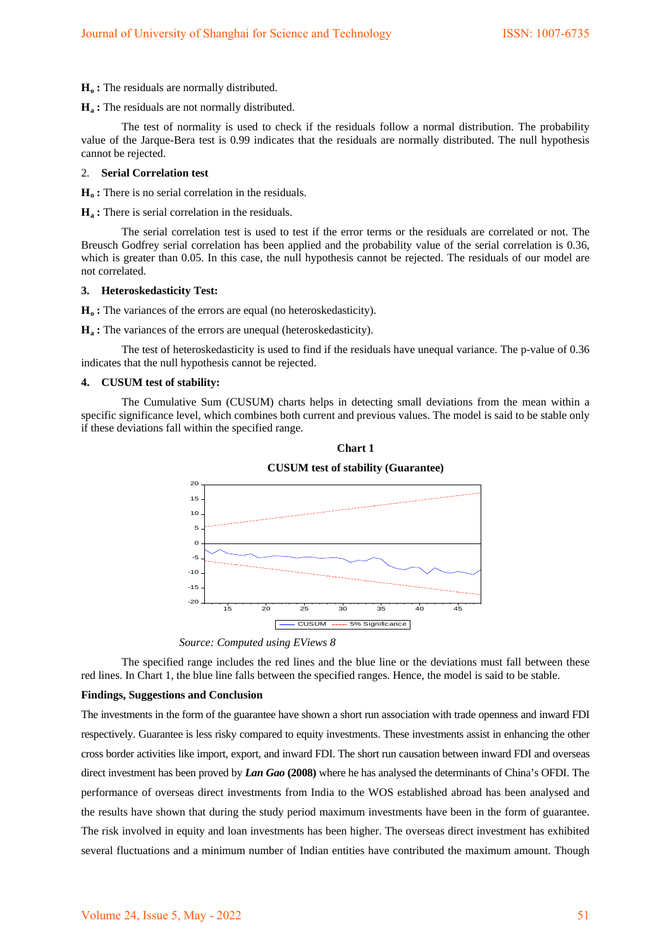**H<sub>o</sub>**: The residuals are normally distributed.

**Ha :** The residuals are not normally distributed.

The test of normality is used to check if the residuals follow a normal distribution. The probability value of the Jarque-Bera test is 0.99 indicates that the residuals are normally distributed. The null hypothesis cannot be rejected.

#### 2. **Serial Correlation test**

**H<sub>o</sub>**: There is no serial correlation in the residuals.

**Ha :** There is serial correlation in the residuals.

The serial correlation test is used to test if the error terms or the residuals are correlated or not. The Breusch Godfrey serial correlation has been applied and the probability value of the serial correlation is 0.36, which is greater than 0.05. In this case, the null hypothesis cannot be rejected. The residuals of our model are not correlated.

### **3. Heteroskedasticity Test:**

**H<sub>o</sub>**: The variances of the errors are equal (no heteroskedasticity).

**H<sub>a</sub>**: The variances of the errors are unequal (heteroskedasticity).

The test of heteroskedasticity is used to find if the residuals have unequal variance. The p-value of 0.36 indicates that the null hypothesis cannot be rejected.

#### **4. CUSUM test of stability:**

The Cumulative Sum (CUSUM) charts helps in detecting small deviations from the mean within a specific significance level, which combines both current and previous values. The model is said to be stable only if these deviations fall within the specified range.



**Chart 1** 

The specified range includes the red lines and the blue line or the deviations must fall between these red lines. In Chart 1, the blue line falls between the specified ranges. Hence, the model is said to be stable.

#### **Findings, Suggestions and Conclusion**

The investments in the form of the guarantee have shown a short run association with trade openness and inward FDI respectively. Guarantee is less risky compared to equity investments. These investments assist in enhancing the other cross border activities like import, export, and inward FDI. The short run causation between inward FDI and overseas direct investment has been proved by *Lan Gao* **(2008)** where he has analysed the determinants of China's OFDI. The performance of overseas direct investments from India to the WOS established abroad has been analysed and the results have shown that during the study period maximum investments have been in the form of guarantee. The risk involved in equity and loan investments has been higher. The overseas direct investment has exhibited several fluctuations and a minimum number of Indian entities have contributed the maximum amount. Though

*Source: Computed using EViews 8*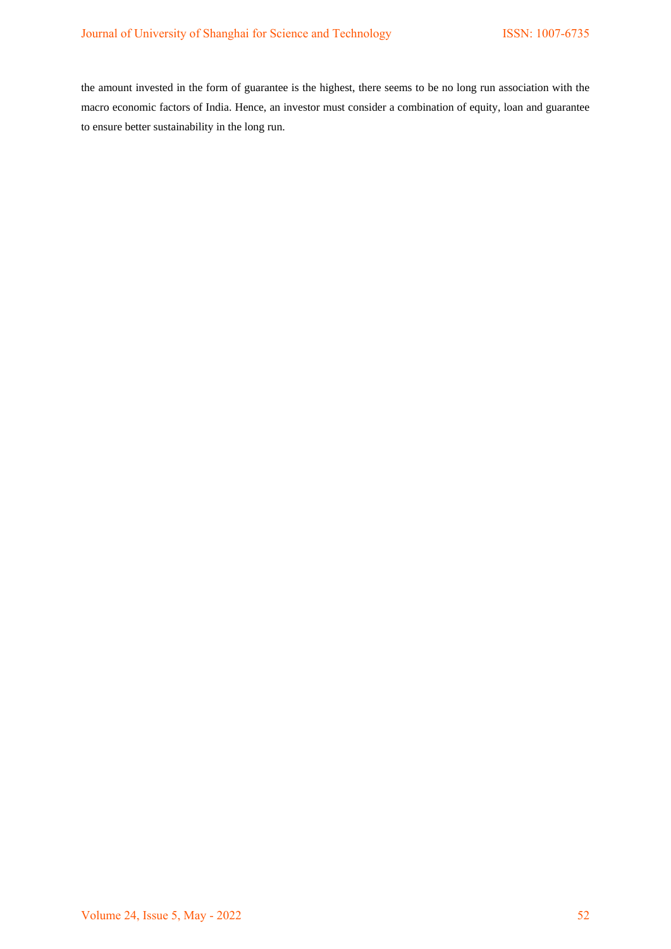the amount invested in the form of guarantee is the highest, there seems to be no long run association with the macro economic factors of India. Hence, an investor must consider a combination of equity, loan and guarantee to ensure better sustainability in the long run.